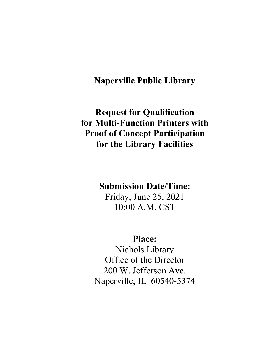# **Naperville Public Library**

# **Request for Qualification for Multi-Function Printers with Proof of Concept Participation for the Library Facilities**

# **Submission Date/Time:**

Friday, June 25, 2021 10:00 A.M. CST

# **Place:**

Nichols Library Office of the Director 200 W. Jefferson Ave. Naperville, IL 60540-5374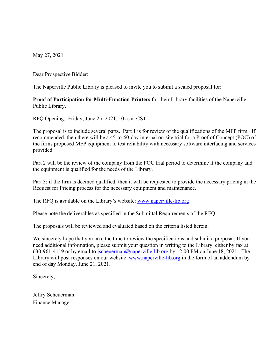May 27, 2021

Dear Prospective Bidder:

The Naperville Public Library is pleased to invite you to submit a sealed proposal for:

**Proof of Participation for Multi-Function Printers** for their Library facilities of the Naperville Public Library.

RFQ Opening: Friday, June 25, 2021, 10 a.m. CST

The proposal is to include several parts. Part 1 is for review of the qualifications of the MFP firm. If recommended, then there will be a 45-to-60-day internal on-site trial for a Proof of Concept (POC) of the firms proposed MFP equipment to test reliability with necessary software interfacing and services provided.

Part 2 will be the review of the company from the POC trial period to determine if the company and the equipment is qualified for the needs of the Library.

Part 3: if the firm is deemed qualified, then it will be requested to provide the necessary pricing in the Request for Pricing process for the necessary equipment and maintenance.

The RFQ is available on the Library's website: [www.naperville-lib.org](http://www.naperville-lib.org/)

Please note the deliverables as specified in the Submittal Requirements of the RFQ.

The proposals will be reviewed and evaluated based on the criteria listed herein.

We sincerely hope that you take the time to review the specifications and submit a proposal. If you need additional information, please submit your question in writing to the Library, either by fax at 630-961-4119 or by email to [jscheuerman@naperville-lib.org](mailto:jscheuerman@naperville-lib.org) by 12:00 PM on June 18, 2021. The Library will post responses on our website [www.naperville-lib.org](http://www.naperville-lib.org/) in the form of an addendum by end of day Monday, June 21, 2021.

Sincerely,

Jeffry Scheuerman Finance Manager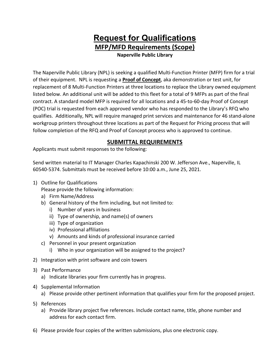# **Request for Qualifications MFP/MFD Requirements (Scope)**

**Naperville Public Library**

The Naperville Public Library (NPL) is seeking a qualified Multi-Function Printer (MFP) firm for a trial of their equipment. NPL is requesting a **Proof of Concept**, aka demonstration or test unit, for replacement of 8 Multi-Function Printers at three locations to replace the Library owned equipment listed below. An additional unit will be added to this fleet for a total of 9 MFPs as part of the final contract. A standard model MFP is required for all locations and a 45-to-60-day Proof of Concept (POC) trial is requested from each approved vendor who has responded to the Library's RFQ who qualifies. Additionally, NPL will require managed print services and maintenance for 46 stand-alone workgroup printers throughout three locations as part of the Request for Pricing process that will follow completion of the RFQ and Proof of Concept process who is approved to continue.

## **SUBMITTAL REQUIREMENTS**

Applicants must submit responses to the following:

Send written material to IT Manager Charles Kapachinski 200 W. Jefferson Ave., Naperville, IL 60540-5374. Submittals must be received before 10:00 a.m., June 25, 2021.

1) Outline for Qualifications

Please provide the following information:

- a) Firm Name/Address
- b) General history of the firm including, but not limited to:
	- i) Number of years in business
	- ii) Type of ownership, and name(s) of owners
	- iii) Type of organization
	- iv) Professional affiliations
	- v) Amounts and kinds of professional insurance carried
- c) Personnel in your present organization
	- i) Who in your organization will be assigned to the project?
- 2) Integration with print software and coin towers
- 3) Past Performance
	- a) Indicate libraries your firm currently has in progress.
- 4) Supplemental Information
	- a) Please provide other pertinent information that qualifies your firm for the proposed project.
- 5) References
	- a) Provide library project five references. Include contact name, title, phone number and address for each contact firm.
- 6) Please provide four copies of the written submissions, plus one electronic copy.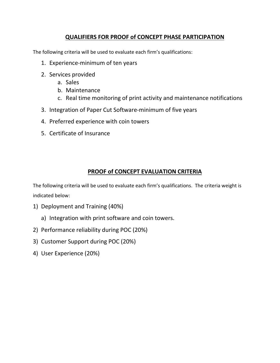## **QUALIFIERS FOR PROOF of CONCEPT PHASE PARTICIPATION**

The following criteria will be used to evaluate each firm's qualifications:

- 1. Experience-minimum of ten years
- 2. Services provided
	- a. Sales
	- b. Maintenance
	- c. Real time monitoring of print activity and maintenance notifications
- 3. Integration of Paper Cut Software-minimum of five years
- 4. Preferred experience with coin towers
- 5. Certificate of Insurance

## **PROOF of CONCEPT EVALUATION CRITERIA**

The following criteria will be used to evaluate each firm's qualifications. The criteria weight is indicated below:

- 1) Deployment and Training (40%)
	- a) Integration with print software and coin towers.
- 2) Performance reliability during POC (20%)
- 3) Customer Support during POC (20%)
- 4) User Experience (20%)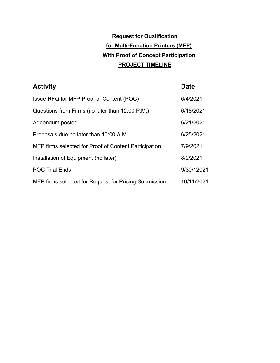# **Request for Qualification for Multi-Function Printers (MFP) With Proof of Concept Participation PROJECT TIMELINE**

| <b>Activity</b>                                       | <b>Date</b> |
|-------------------------------------------------------|-------------|
| Issue RFQ for MFP Proof of Content (POC)              | 6/4/2021    |
| Questions from Firms (no later than 12:00 P.M.)       | 6/18/2021   |
| Addendum posted                                       | 6/21/2021   |
| Proposals due no later than 10:00 A.M.                | 6/25/2021   |
| MFP firms selected for Proof of Content Participation | 7/9/2021    |
| Installation of Equipment (no later)                  | 8/2/2021    |
| <b>POC Trial Ends</b>                                 | 9/30/12021  |
| MFP firms selected for Request for Pricing Submission | 10/11/2021  |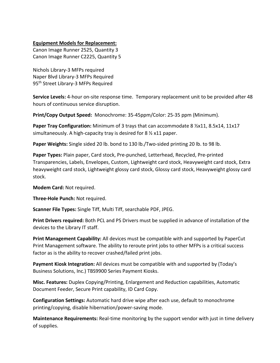#### **Equipment Models for Replacement:**

Canon Image Runner 2525, Quantity 3 Canon Image Runner C2225, Quantity 5

Nichols Library-3 MFPs required Naper Blvd Library-3 MFPs Required 95th Street Library-3 MFPs Required

**Service Levels:** 4-hour on-site response time. Temporary replacement unit to be provided after 48 hours of continuous service disruption.

**Print/Copy Output Speed:** Monochrome: 35-45ppm/Color: 25-35 ppm (Minimum).

**Paper Tray Configuration:** Minimum of 3 trays that can accommodate 8 ½x11, 8.5x14, 11x17 simultaneously. A high-capacity tray is desired for 8 ½ x11 paper.

**Paper Weights:** Single sided 20 lb. bond to 130 lb./Two-sided printing 20 lb. to 98 lb.

**Paper Types:** Plain paper, Card stock, Pre-punched, Letterhead, Recycled, Pre-printed Transparencies, Labels, Envelopes, Custom, Lightweight card stock, Heavyweight card stock, Extra heavyweight card stock, Lightweight glossy card stock, Glossy card stock, Heavyweight glossy card stock.

**Modem Card:** Not required.

**Three-Hole Punch:** Not required.

**Scanner File Types:** Single Tiff, Multi Tiff, searchable PDF, JPEG.

**Print Drivers required:** Both PCL and PS Drivers must be supplied in advance of installation of the devices to the Library IT staff.

**Print Management Capability:** All devices must be compatible with and supported by PaperCut Print Management software. The ability to reroute print jobs to other MFPs is a critical success factor as is the ability to recover crashed/failed print jobs.

**Payment Kiosk Integration:** All devices must be compatible with and supported by (Today's Business Solutions, Inc.) TBS9900 Series Payment Kiosks.

**Misc. Features:** Duplex Copying/Printing, Enlargement and Reduction capabilities, Automatic Document Feeder, Secure Print capability, ID Card Copy.

**Configuration Settings:** Automatic hard drive wipe after each use, default to monochrome printing/copying, disable hibernation/power-saving mode.

**Maintenance Requirements:** Real-time monitoring by the support vendor with just in time delivery of supplies.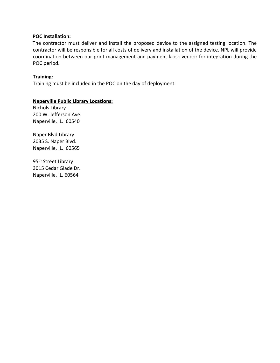### **POC Installation:**

The contractor must deliver and install the proposed device to the assigned testing location. The contractor will be responsible for all costs of delivery and installation of the device. NPL will provide coordination between our print management and payment kiosk vendor for integration during the POC period.

### **Training:**

Training must be included in the POC on the day of deployment.

### **Naperville Public Library Locations:**

Nichols Library 200 W. Jefferson Ave. Naperville, IL. 60540

Naper Blvd Library 2035 S. Naper Blvd. Naperville, IL. 60565

95<sup>th</sup> Street Library 3015 Cedar Glade Dr. Naperville, IL. 60564